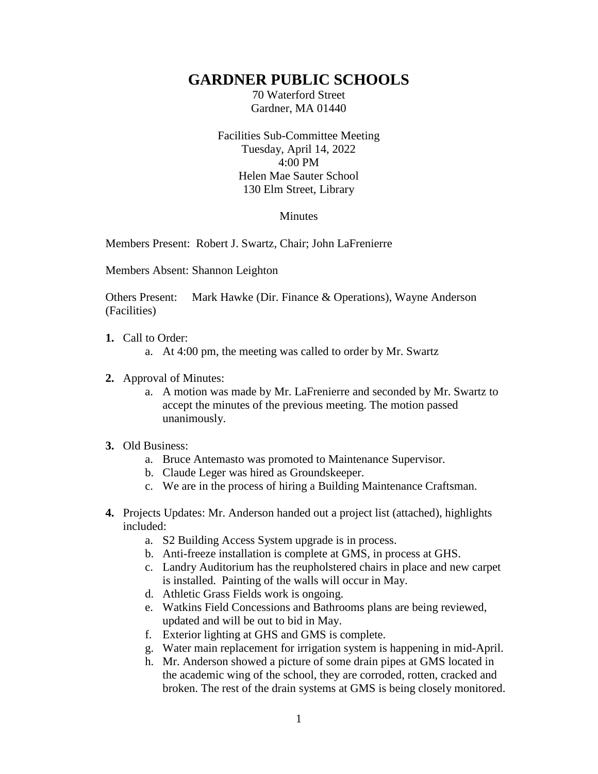## **GARDNER PUBLIC SCHOOLS**

70 Waterford Street Gardner, MA 01440

Facilities Sub-Committee Meeting Tuesday, April 14, 2022 4:00 PM Helen Mae Sauter School 130 Elm Street, Library

## Minutes

Members Present: Robert J. Swartz, Chair; John LaFrenierre

Members Absent: Shannon Leighton

Others Present: Mark Hawke (Dir. Finance & Operations), Wayne Anderson (Facilities)

- **1.** Call to Order:
	- a. At 4:00 pm, the meeting was called to order by Mr. Swartz
- **2.** Approval of Minutes:
	- a. A motion was made by Mr. LaFrenierre and seconded by Mr. Swartz to accept the minutes of the previous meeting. The motion passed unanimously.

## **3.** Old Business:

- a. Bruce Antemasto was promoted to Maintenance Supervisor.
- b. Claude Leger was hired as Groundskeeper.
- c. We are in the process of hiring a Building Maintenance Craftsman.
- **4.** Projects Updates: Mr. Anderson handed out a project list (attached), highlights included:
	- a. S2 Building Access System upgrade is in process.
	- b. Anti-freeze installation is complete at GMS, in process at GHS.
	- c. Landry Auditorium has the reupholstered chairs in place and new carpet is installed. Painting of the walls will occur in May.
	- d. Athletic Grass Fields work is ongoing.
	- e. Watkins Field Concessions and Bathrooms plans are being reviewed, updated and will be out to bid in May.
	- f. Exterior lighting at GHS and GMS is complete.
	- g. Water main replacement for irrigation system is happening in mid-April.
	- h. Mr. Anderson showed a picture of some drain pipes at GMS located in the academic wing of the school, they are corroded, rotten, cracked and broken. The rest of the drain systems at GMS is being closely monitored.